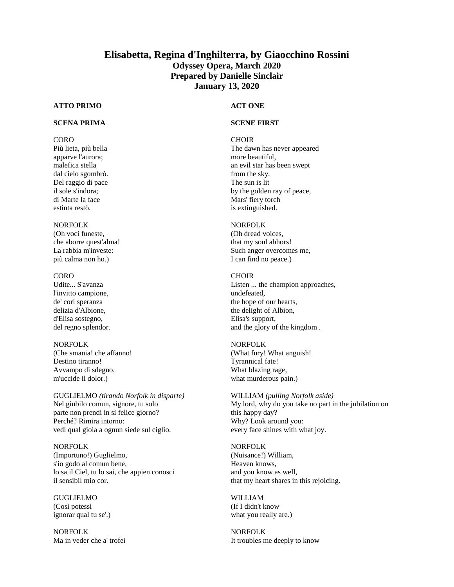# **Elisabetta, Regina d'Inghilterra, by Giaocchino Rossini Odyssey Opera, March 2020 Prepared by Danielle Sinclair January 13, 2020**

## **ATTO PRIMO**

## **SCENA PRIMA**

### CORO

Più lieta, più bella apparve l'aurora; malefica stella dal cielo sgombrò. Del raggio di pace il sole s'indora; di Marte la face estinta restò.

### NORFOLK

(Oh voci funeste, che aborre quest'alma! La rabbia m'investe: più calma non ho.)

#### CORO

Udite... S'avanza l'invitto campione, de' cori speranza delizia d'Albione, d'Elisa sostegno, del regno splendor.

### NORFOLK

(Che smania! che affanno! Destino tiranno! Avvampo di sdegno, m'uccide il dolor.)

GUGLIELMO *(tirando Norfolk in disparte)* Nel giubilo comun, signore, tu solo parte non prendi in sì felice giorno? Perché? Rimira intorno: vedi qual gioia a ognun siede sul ciglio.

NORFOLK (Importuno!) Guglielmo, s'io godo al comun bene, lo sa il Ciel, tu lo sai, che appien conosci il sensibil mio cor.

GUGLIELMO (Così potessi ignorar qual tu se'.)

NORFOLK Ma in veder che a' trofei

### **ACT ONE**

### **SCENE FIRST**

#### **CHOIR**

The dawn has never appeared more beautiful, an evil star has been swept from the sky. The sun is lit by the golden ray of peace, Mars' fiery torch is extinguished.

### NORFOLK

(Oh dread voices, that my soul abhors! Such anger overcomes me, I can find no peace.)

#### CHOIR

Listen ... the champion approaches, undefeated, the hope of our hearts, the delight of Albion, Elisa's support, and the glory of the kingdom .

### NORFOLK

(What fury! What anguish! Tyrannical fate! What blazing rage, what murderous pain.)

WILLIAM *(pulling Norfolk aside)* My lord, why do you take no part in the jubilation on this happy day? Why? Look around you: every face shines with what joy.

#### NORFOLK

(Nuisance!) William, Heaven knows, and you know as well, that my heart shares in this rejoicing.

### WILLIAM (If I didn't know what you really are.)

NORFOLK It troubles me deeply to know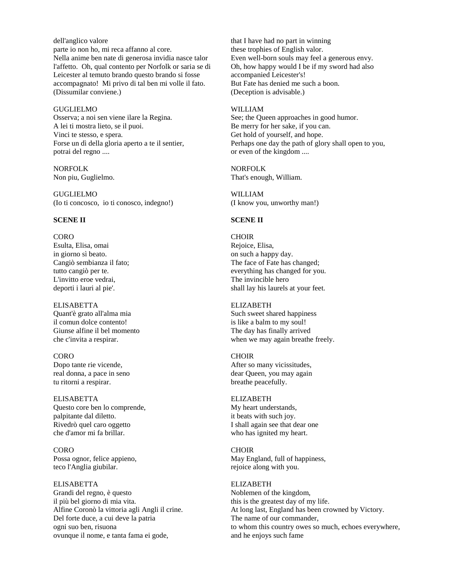dell'anglico valore parte io non ho, mi reca affanno al core. Nella anime ben nate di generosa invidia nasce talor l'affetto. Oh, qual contento per Norfolk or saria se di Leicester al temuto brando questo brando si fosse accompagnato! Mi privo di tal ben mi volle il fato. (Dissumilar conviene.)

#### GUGLIELMO

Osserva; a noi sen viene ilare la Regina. A lei ti mostra lieto, se il puoi. Vinci te stesso, e spera. Forse un dì della gloria aperto a te il sentier, potrai del regno ....

NORFOLK Non piu, Guglielmo.

GUGLIELMO (Io ti concosco, io ti conosco, indegno!)

### **SCENE II**

#### CORO

Esulta, Elisa, omai in giorno sì beato. Cangiò sembianza il fato; tutto cangiò per te. L'invitto eroe vedrai, deporti i lauri al pie'.

ELISABETTA Quant'è grato all'alma mia il comun dolce contento! Giunse alfine il bel momento che c'invita a respirar.

CORO Dopo tante rie vicende, real donna, a pace in seno tu ritorni a respirar.

ELISABETTA Questo core ben lo comprende, palpitante dal diletto. Rivedrò quel caro oggetto che d'amor mi fa brillar.

CORO Possa ognor, felice appieno, teco l'Anglia giubilar.

ELISABETTA Grandi del regno, è questo il più bel giorno di mia vita. Alfine Coronò la vittoria agli Angli il crine. Del forte duce, a cui deve la patria ogni suo ben, risuona ovunque il nome, e tanta fama ei gode,

that I have had no part in winning these trophies of English valor. Even well-born souls may feel a generous envy. Oh, how happy would I be if my sword had also accompanied Leicester's! But Fate has denied me such a boon. (Deception is advisable.)

#### WILLIAM

See; the Queen approaches in good humor. Be merry for her sake, if you can. Get hold of yourself, and hope. Perhaps one day the path of glory shall open to you, or even of the kingdom ....

NORFOLK That's enough, William.

WILLIAM (I know you, unworthy man!)

## **SCENE II**

**CHOIR** Rejoice, Elisa, on such a happy day. The face of Fate has changed; everything has changed for you. The invincible hero shall lay his laurels at your feet.

ELIZABETH Such sweet shared happiness is like a balm to my soul! The day has finally arrived when we may again breathe freely.

**CHOIR** After so many vicissitudes, dear Queen, you may again breathe peacefully.

ELIZABETH My heart understands, it beats with such joy. I shall again see that dear one who has ignited my heart.

CHOIR May England, full of happiness, rejoice along with you.

### ELIZABETH

Noblemen of the kingdom, this is the greatest day of my life. At long last, England has been crowned by Victory. The name of our commander, to whom this country owes so much, echoes everywhere, and he enjoys such fame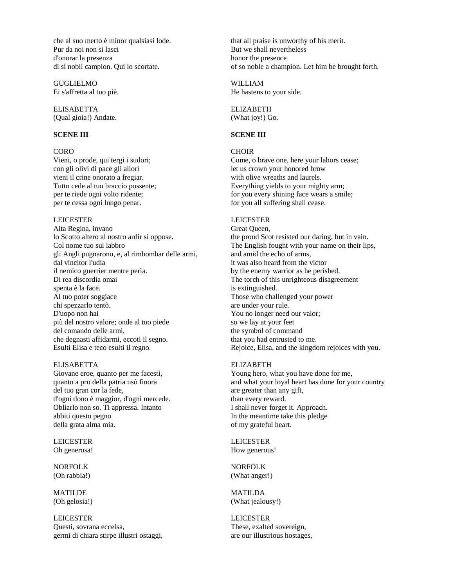che al suo merto è minor qualsiasi lode. Pur da noi non si lasci d'onorar la presenza di sì nobil campion. Qui lo scortate.

GUGLIELMO Ei s'affretta al tuo piè.

ELISABETTA (Qual gioia!) Andate.

### **SCENE III**

### **CORO**

Vieni, o prode, qui tergi i sudori; con gli olivi di pace gli allori vieni il crine onorato a fregiar. Tutto cede al tuo braccio possente; per te riede ogni volto ridente; per te cessa ogni lungo penar.

#### LEICESTER

Alta Regina, invano lo Scotto altero al nostro ardir si oppose. Col nome tuo sul labbro gli Angli pugnarono, e, al rimbombar delle armi, dal vincitor l'udìa il nemico guerrier mentre perìa. Di rea discordia omai spenta è la face. Al tuo poter soggiace chi spezzarlo tentò. D'uopo non hai più del nostro valore; onde al tuo piede del comando delle armi, che degnasti affidarmi, eccoti il segno. Esulti Elisa e teco esulti il regno.

### ELISABETTA

Giovane eroe, quanto per me facesti, quanto a pro della patria usò finora del tuo gran cor la fede, d'ogni dono è maggior, d'ogni mercede. Obliarlo non so. Ti appressa. Intanto abbiti questo pegno della grata alma mia.

LEICESTER Oh generosa!

NORFOLK (Oh rabbia!)

MATILDE (Oh gelosia!)

LEICESTER Questi, sovrana eccelsa, germi di chiara stirpe illustri ostaggi,

that all praise is unworthy of his merit. But we shall nevertheless honor the presence of so noble a champion. Let him be brought forth.

WILLIAM He hastens to your side.

ELIZABETH (What joy!) Go.

#### **SCENE III**

### **CHOIR**

Come, o brave one, here your labors cease; let us crown your honored brow with olive wreaths and laurels. Everything yields to your mighty arm; for you every shining face wears a smile; for you all suffering shall cease.

#### LEICESTER

Great Queen, the proud Scot resisted our daring, but in vain. The English fought with your name on their lips, and amid the echo of arms, it was also heard from the victor by the enemy warrior as he perished. The torch of this unrighteous disagreement is extinguished. Those who challenged your power are under your rule. You no longer need our valor; so we lay at your feet the symbol of command that you had entrusted to me. Rejoice, Elisa, and the kingdom rejoices with you.

#### ELIZABETH

Young hero, what you have done for me, and what your loyal heart has done for your country are greater than any gift, than every reward. I shall never forget it. Approach. In the meantime take this pledge of my grateful heart.

LEICESTER How generous!

NORFOLK (What anger!)

MATILDA (What jealousy!)

LEICESTER These, exalted sovereign, are our illustrious hostages,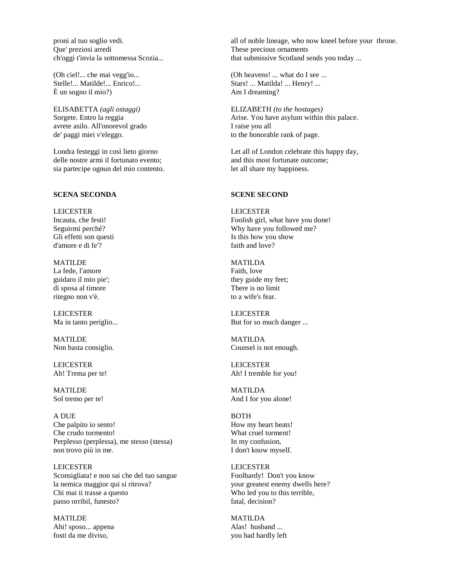proni al tuo soglio vedi. Que' preziosi arredi ch'oggi t'invia la sottomessa Scozia...

(Oh ciel!... che mai vegg'io... Stelle!... Matilde!... Enrico!... È un sogno il mio?)

ELISABETTA *(agli ostaggi)* Sorgete. Entro la reggia avrete asilo. All'onorevol grado de' paggi miei v'eleggo.

Londra festeggi in così lieto giorno delle nostre armi il fortunato evento; sia partecipe ognun del mio contento.

#### **SCENA SECONDA**

LEICESTER Incauta, che festi! Seguirmi perché? Gli effetti son questi d'amore e di fe'?

MATILDE La fede, l'amore guidaro il mio pie'; di sposa al timore ritegno non v'è.

LEICESTER Ma in tanto periglio...

MATILDE Non basta consiglio.

LEICESTER Ah! Trema per te!

MATILDE Sol tremo per te!

A DUE Che palpito io sento! Che crudo tormento! Perplesso (perplessa), me stesso (stessa) non trovo più in me.

LEICESTER Sconsigliata! e non sai che del tuo sangue la nemica maggior qui si ritrova? Chi mai ti trasse a questo passo orribil, funesto?

MATILDE Ahi! sposo... appena fosti da me diviso,

all of noble lineage, who now kneel before your throne. These precious ornaments that submissive Scotland sends you today ...

(Oh heavens! ... what do I see ... Stars! ... Matilda! ... Henry! ... Am I dreaming?

ELIZABETH *(to the hostages)* Arise. You have asylum within this palace. I raise you all to the honorable rank of page.

Let all of London celebrate this happy day, and this most fortunate outcome; let all share my happiness.

#### **SCENE SECOND**

LEICESTER Foolish girl, what have you done! Why have you followed me? Is this how you show faith and love?

MATILDA Faith, love they guide my feet; There is no limit to a wife's fear.

LEICESTER But for so much danger ...

MATILDA Counsel is not enough.

LEICESTER Ah! I tremble for you!

MATILDA And I for you alone!

BOTH How my heart beats! What cruel torment! In my confusion, I don't know myself.

LEICESTER Foolhardy! Don't you know your greatest enemy dwells here? Who led you to this terrible, fatal, decision?

MATILDA Alas! husband ... you had hardly left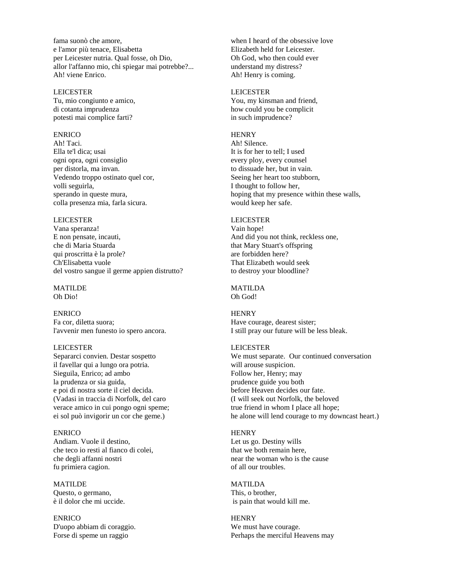fama suonò che amore, e l'amor più tenace, Elisabetta per Leicester nutria. Qual fosse, oh Dio, allor l'affanno mio, chi spiegar mai potrebbe?... Ah! viene Enrico.

#### LEICESTER

Tu, mio congiunto e amico, di cotanta imprudenza potesti mai complice farti?

## ENRICO

Ah! Taci. Ella te'l dica; usai ogni opra, ogni consiglio per distorla, ma invan. Vedendo troppo ostinato quel cor, volli seguirla, sperando in queste mura, colla presenza mia, farla sicura.

### LEICESTER

Vana speranza! E non pensate, incauti, che di Maria Stuarda qui proscritta è la prole? Ch'Elisabetta vuole del vostro sangue il germe appien distrutto?

MATILDE Oh Dio!

#### ENRICO

Fa cor, diletta suora; l'avvenir men funesto io spero ancora.

#### LEICESTER

Separarci convien. Destar sospetto il favellar qui a lungo ora potria. Sieguila, Enrico; ad ambo la prudenza or sia guida, e poi di nostra sorte il ciel decida. (Vadasi in traccia di Norfolk, del caro verace amico in cui pongo ogni speme; ei sol può invigorir un cor che geme.)

# ENRICO

Andiam. Vuole il destino, che teco io resti al fianco di colei, che degli affanni nostri fu primiera cagion.

**MATILDE** Questo, o germano, è il dolor che mi uccide.

ENRICO D'uopo abbiam di coraggio. Forse di speme un raggio

when I heard of the obsessive love Elizabeth held for Leicester. Oh God, who then could ever understand my distress? Ah! Henry is coming.

#### LEICESTER

You, my kinsman and friend, how could you be complicit in such imprudence?

#### **HENRY**

Ah! Silence. It is for her to tell; I used every ploy, every counsel to dissuade her, but in vain. Seeing her heart too stubborn, I thought to follow her, hoping that my presence within these walls, would keep her safe.

### LEICESTER

Vain hope! And did you not think, reckless one, that Mary Stuart's offspring are forbidden here? That Elizabeth would seek to destroy your bloodline?

#### MATILDA Oh God!

### **HENRY** Have courage, dearest sister;

I still pray our future will be less bleak.

#### LEICESTER

We must separate. Our continued conversation will arouse suspicion. Follow her, Henry; may prudence guide you both before Heaven decides our fate. (I will seek out Norfolk, the beloved true friend in whom I place all hope; he alone will lend courage to my downcast heart.)

#### **HENRY**

Let us go. Destiny wills that we both remain here, near the woman who is the cause of all our troubles.

#### MATILDA

This, o brother, is pain that would kill me.

## **HENRY** We must have courage.

Perhaps the merciful Heavens may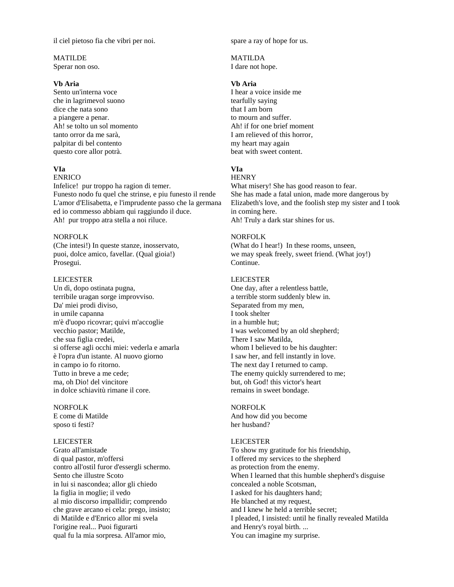il ciel pietoso fia che vibri per noi.

## MATILDE

Sperar non oso.

### **Vb Aria**

Sento un'interna voce che in lagrimevol suono dice che nata sono a piangere a penar. Ah! se tolto un sol momento tanto orror da me sarà, palpitar di bel contento questo core allor potrà.

#### **VIa**

## **ENRICO**

Infelice! pur troppo ha ragion di temer. Funesto nodo fu quel che strinse, e piu funesto il rende L'amor d'Elisabetta, e l'imprudente passo che la germana ed io commesso abbiam qui raggiundo il duce. Ah! pur troppo atra stella a noi riluce.

## NORFOLK

(Che intesi!) In queste stanze, inosservato, puoi, dolce amico, favellar. (Qual gioia!) Prosegui.

#### LEICESTER

Un dì, dopo ostinata pugna, terribile uragan sorge improvviso. Da' miei prodi diviso, in umile capanna m'è d'uopo ricovrar; quivi m'accoglie vecchio pastor; Matilde, che sua figlia credei, si offerse agli occhi miei: vederla e amarla è l'opra d'un istante. Al nuovo giorno in campo io fo ritorno. Tutto in breve a me cede; ma, oh Dio! del vincitore in dolce schiavitù rimane il core.

#### NORFOLK

E come di Matilde sposo ti festi?

#### LEICESTER

Grato all'amistade di qual pastor, m'offersi contro all'ostil furor d'essergli schermo. Sento che illustre Scoto in lui si nascondea; allor gli chiedo la figlia in moglie; il vedo al mio discorso impallidir; comprendo che grave arcano ei cela: prego, insisto; di Matilde e d'Enrico allor mi svela l'origine real... Puoi figurarti qual fu la mia sorpresa. All'amor mio,

spare a ray of hope for us.

MATILDA I dare not hope.

### **Vb Aria**

I hear a voice inside me tearfully saying that I am born to mourn and suffer. Ah! if for one brief moment I am relieved of this horror, my heart may again beat with sweet content.

## **VIa**

#### **HENRY**

What misery! She has good reason to fear. She has made a fatal union, made more dangerous by Elizabeth's love, and the foolish step my sister and I took in coming here. Ah! Truly a dark star shines for us.

#### NORFOLK

(What do I hear!) In these rooms, unseen, we may speak freely, sweet friend. (What joy!) Continue.

#### LEICESTER

One day, after a relentless battle, a terrible storm suddenly blew in. Separated from my men, I took shelter in a humble hut; I was welcomed by an old shepherd; There I saw Matilda, whom I believed to be his daughter: I saw her, and fell instantly in love. The next day I returned to camp. The enemy quickly surrendered to me; but, oh God! this victor's heart remains in sweet bondage.

## NORFOLK

And how did you become her husband?

### LEICESTER

To show my gratitude for his friendship, I offered my services to the shepherd as protection from the enemy. When I learned that this humble shepherd's disguise concealed a noble Scotsman, I asked for his daughters hand; He blanched at my request, and I knew he held a terrible secret; I pleaded, I insisted: until he finally revealed Matilda and Henry's royal birth. ... You can imagine my surprise.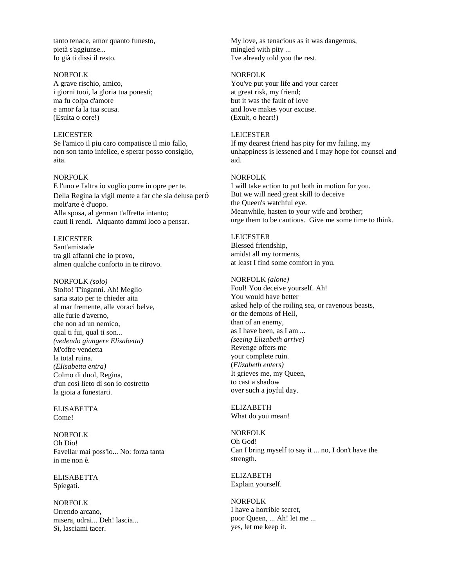tanto tenace, amor quanto funesto, pietà s'aggiunse... Io già ti dissi il resto.

### NORFOLK

A grave rischio, amico, i giorni tuoi, la gloria tua ponesti; ma fu colpa d'amore e amor fa la tua scusa. (Esulta o core!)

#### LEICESTER

Se l'amico il piu caro compatisce il mio fallo, non son tanto infelice, e sperar posso consiglio, aita.

#### NORFOLK

E l'uno e l'altra io voglio porre in opre per te. Della Regina la vigil mente a far che sia delusa peró molt'arte è d'uopo. Alla sposa, al german t'affretta intanto; cauti li rendi. Alquanto dammi loco a pensar.

#### LEICESTER

Sant'amistade tra gli affanni che io provo, almen qualche conforto in te ritrovo.

#### NORFOLK *(solo)*

Stolto! T'inganni. Ah! Meglio saria stato per te chieder aita al mar fremente, alle voraci belve, alle furie d'averno, che non ad un nemico, qual ti fui, qual ti son... *(vedendo giungere Elisabetta)* M'offre vendetta la total ruina. *(EIisabetta entra)* Colmo di duol, Regina, d'un così lieto dì son io costretto la gioia a funestarti.

ELISABETTA Come!

NORFOLK Oh Dio! Favellar mai poss'io... No: forza tanta in me non è.

ELISABETTA Spiegati.

NORFOLK Orrendo arcano, misera, udrai... Deh! lascia... Sì, lasciami tacer.

My love, as tenacious as it was dangerous, mingled with pity ... I've already told you the rest.

#### NORFOLK

You've put your life and your career at great risk, my friend; but it was the fault of love and love makes your excuse. (Exult, o heart!)

## LEICESTER

If my dearest friend has pity for my failing, my unhappiness is lessened and I may hope for counsel and aid.

### NORFOLK

I will take action to put both in motion for you. But we will need great skill to deceive the Queen's watchful eye. Meanwhile, hasten to your wife and brother; urge them to be cautious. Give me some time to think.

#### LEICESTER

Blessed friendship, amidst all my torments, at least I find some comfort in you.

#### NORFOLK *(alone)*

Fool! You deceive yourself. Ah! You would have better asked help of the roiling sea, or ravenous beasts, or the demons of Hell, than of an enemy, as I have been, as I am ... *(seeing Elizabeth arrive)* Revenge offers me your complete ruin. (*Elizabeth enters)* It grieves me, my Queen, to cast a shadow over such a joyful day.

ELIZABETH What do you mean!

NORFOLK Oh God! Can I bring myself to say it ... no, I don't have the strength.

ELIZABETH Explain yourself.

NORFOLK I have a horrible secret, poor Queen, ... Ah! let me ... yes, let me keep it.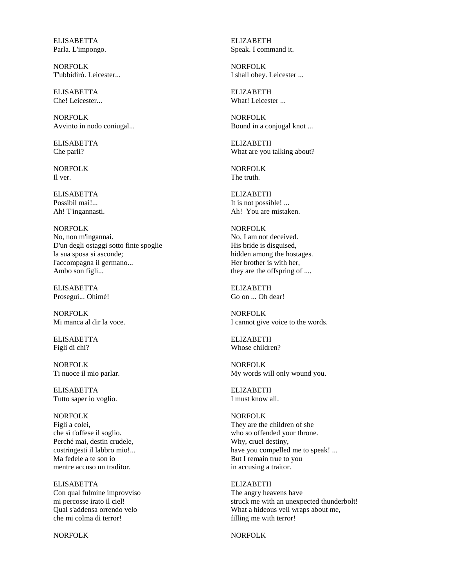ELISABETTA Parla. L'impongo.

NORFOLK T'ubbidirò. Leicester...

ELISABETTA Che! Leicester...

NORFOLK Avvinto in nodo coniugal...

ELISABETTA Che parli?

NORFOLK Il ver.

**ELISABETTA** Possibil mai!... Ah! T'ingannasti.

NORFOLK No, non m'ingannai. D'un degli ostaggi sotto finte spoglie la sua sposa si asconde; l'accompagna il germano... Ambo son figli...

ELISABETTA Prosegui... Ohimè!

NORFOLK Mi manca al dir la voce.

ELISABETTA Figli di chi?

NORFOLK Ti nuoce il mio parlar.

ELISABETTA Tutto saper io voglio.

NORFOLK Figli a colei, che sì t'offese il soglio. Perché mai, destin crudele, costringesti il labbro mio!... Ma fedele a te son io mentre accuso un traditor.

ELISABETTA Con qual fulmine improvviso mi percosse irato il ciel! Qual s'addensa orrendo velo che mi colma di terror!

NORFOLK

ELIZABETH Speak. I command it.

NORFOLK I shall obey. Leicester ...

ELIZABETH What! Leicester

NORFOLK Bound in a conjugal knot ...

ELIZABETH What are you talking about?

NORFOLK The truth.

**ELIZABETH** It is not possible! ... Ah! You are mistaken.

NORFOLK No, I am not deceived. His bride is disguised, hidden among the hostages. Her brother is with her, they are the offspring of ....

ELIZABETH Go on ... Oh dear!

NORFOLK I cannot give voice to the words.

ELIZABETH Whose children?

NORFOLK My words will only wound you.

ELIZABETH I must know all.

NORFOLK They are the children of she who so offended your throne. Why, cruel destiny, have you compelled me to speak! ... But I remain true to you in accusing a traitor.

ELIZABETH The angry heavens have struck me with an unexpected thunderbolt! What a hideous veil wraps about me, filling me with terror!

NORFOLK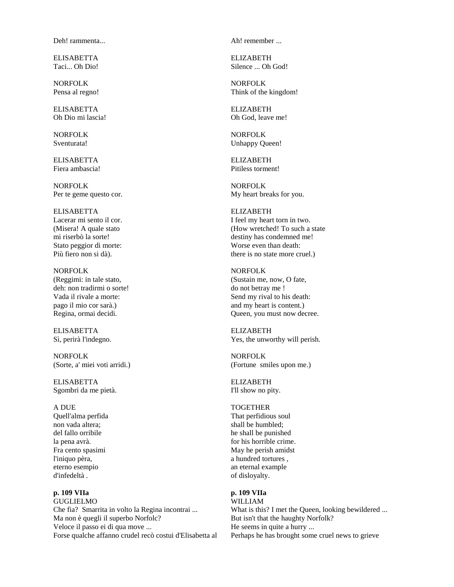Deh! rammenta...

ELISABETTA Taci... Oh Dio!

NORFOLK Pensa al regno!

ELISABETTA Oh Dio mi lascia!

NORFOLK Sventurata!

ELISABETTA Fiera ambascia!

NORFOLK Per te geme questo cor.

ELISABETTA Lacerar mi sento il cor. (Misera! A quale stato mi riserbò la sorte! Stato peggior di morte: Più fiero non si dà).

NORFOLK (Reggimi: in tale stato, deh: non tradirmi o sorte! Vada il rivale a morte: pago il mio cor sarà.) Regina, ormai decidi.

ELISABETTA Sì, perirà l'indegno.

NORFOLK (Sorte, a' miei voti arridi.)

ELISABETTA Sgombri da me pietà.

A DUE Quell'alma perfida non vada altera; del fallo orribile la pena avrà. Fra cento spasimi l'iniquo pèra, eterno esempio d'infedeltà .

### **p. 109 VIIa** GUGLIELMO Che fia? Smarrita in volto la Regina incontrai ... Ma non è quegli il superbo Norfolc? Veloce il passo ei di qua move ... Forse qualche affanno crudel recò costui d'Elisabetta al

Ah! remember ...

ELIZABETH Silence ... Oh God!

NORFOLK Think of the kingdom!

ELIZABETH Oh God, leave me!

NORFOLK Unhappy Queen!

ELIZABETH Pitiless torment!

NORFOLK My heart breaks for you.

ELIZABETH I feel my heart torn in two. (How wretched! To such a state destiny has condemned me! Worse even than death: there is no state more cruel.)

NORFOLK (Sustain me, now, O fate, do not betray me ! Send my rival to his death: and my heart is content.) Queen, you must now decree.

ELIZABETH Yes, the unworthy will perish.

NORFOLK (Fortune smiles upon me.)

ELIZABETH I'll show no pity.

## **TOGETHER**

That perfidious soul shall be humbled; he shall be punished for his horrible crime. May he perish amidst a hundred tortures , an eternal example of disloyalty.

#### **p. 109 VIIa** WILLIAM

What is this? I met the Queen, looking bewildered ... But isn't that the haughty Norfolk? He seems in quite a hurry ... Perhaps he has brought some cruel news to grieve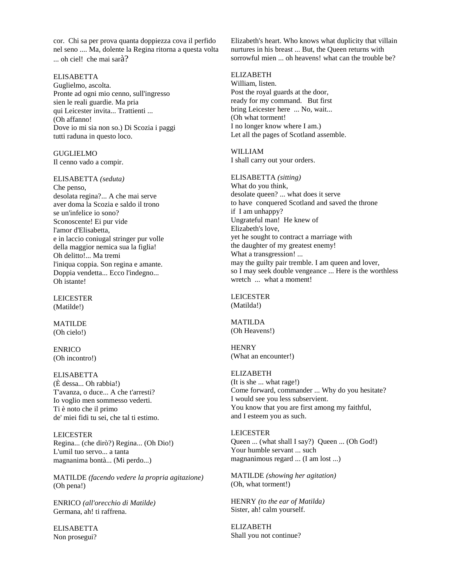cor. Chi sa per prova quanta doppiezza cova il perfido nel seno .... Ma, dolente la Regina ritorna a questa volta ... oh ciel! che mai sarà?

### ELISABETTA

Guglielmo, ascolta. Pronte ad ogni mio cenno, sull'ingresso sien le reali guardie. Ma pria qui Leicester invita... Trattienti ... (Oh affanno! Dove io mi sia non so.) Di Scozia i paggi tutti raduna in questo loco.

**GUGLIELMO** Il cenno vado a compir.

#### ELISABETTA *(seduta)*

Che penso, desolata regina?... A che mai serve aver doma la Scozia e saldo il trono se un'infelice io sono? Sconoscente! Ei pur vide l'amor d'Elisabetta, e in laccio coniugal stringer pur volle della maggior nemica sua la figlia! Oh delitto!... Ma tremi l'iniqua coppia. Son regina e amante. Doppia vendetta... Ecco l'indegno... Oh istante!

LEICESTER (Matilde!)

MATILDE (Oh cielo!)

ENRICO (Oh incontro!)

### ELISABETTA

(È dessa... Oh rabbia!) T'avanza, o duce... A che t'arresti? Io voglio men sommesso vederti. Ti è noto che il primo de' miei fidi tu sei, che tal ti estimo.

LEICESTER Regina... (che dirò?) Regina... (Oh Dio!) L'umil tuo servo... a tanta magnanima bontà... (Mi perdo...)

MATILDE *(facendo vedere la propria agitazione)* (Oh pena!)

ENRICO *(all'orecchio di Matilde)* Germana, ah! ti raffrena.

ELISABETTA Non prosegui?

Elizabeth's heart. Who knows what duplicity that villain nurtures in his breast ... But, the Queen returns with sorrowful mien ... oh heavens! what can the trouble be?

## ELIZABETH

William, listen. Post the royal guards at the door, ready for my command. But first bring Leicester here ... No, wait... (Oh what torment! I no longer know where I am.) Let all the pages of Scotland assemble.

### WILLIAM

I shall carry out your orders.

#### ELISABETTA *(sitting)*

What do you think, desolate queen? ... what does it serve to have conquered Scotland and saved the throne if I am unhappy? Ungrateful man! He knew of Elizabeth's love, yet he sought to contract a marriage with the daughter of my greatest enemy! What a transgression! ... may the guilty pair tremble. I am queen and lover, so I may seek double vengeance ... Here is the worthless wretch ... what a moment!

LEICESTER (Matilda!)

MATILDA (Oh Heavens!)

**HENRY** (What an encounter!)

## ELIZABETH

(It is she ... what rage!) Come forward, commander ... Why do you hesitate? I would see you less subservient. You know that you are first among my faithful, and I esteem you as such.

### LEICESTER Queen ... (what shall I say?) Queen ... (Oh God!) Your humble servant ... such magnanimous regard ... (I am lost ...)

MATILDE *(showing her agitation)* (Oh, what torment!)

HENRY *(to the ear of Matilda)* Sister, ah! calm yourself.

ELIZABETH Shall you not continue?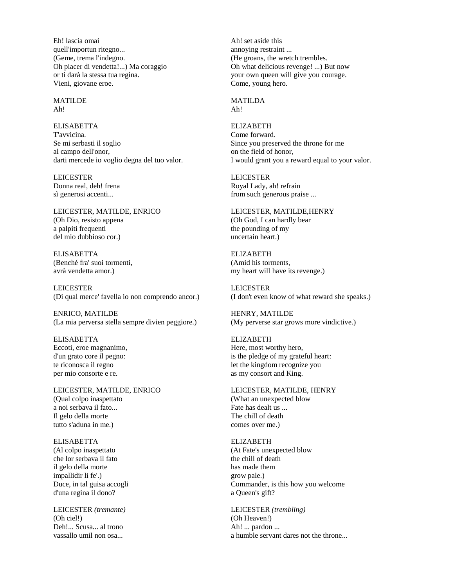Eh! lascia omai quell'importun ritegno... (Geme, trema l'indegno. Oh piacer di vendetta!...) Ma coraggio or ti darà la stessa tua regina. Vieni, giovane eroe.

MATILDE Ah!

**ELISABETTA** T'avvicina. Se mi serbasti il soglio al campo dell'onor, darti mercede io voglio degna del tuo valor.

LEICESTER Donna real, deh! frena sì generosi accenti...

LEICESTER, MATILDE, ENRICO (Oh Dio, resisto appena a palpiti frequenti del mio dubbioso cor.)

**ELISABETTA** (Benché fra' suoi tormenti, avrà vendetta amor.)

LEICESTER (Di qual merce' favella io non comprendo ancor.)

ENRICO, MATILDE (La mia perversa stella sempre divien peggiore.)

ELISABETTA Eccoti, eroe magnanimo, d'un grato core il pegno: te riconosca il regno per mio consorte e re.

LEICESTER, MATILDE, ENRICO (Qual colpo inaspettato a noi serbava il fato... Il gelo della morte tutto s'aduna in me.)

ELISABETTA (Al colpo inaspettato che lor serbava il fato il gelo della morte impallidir li fe'.) Duce, in tal guisa accogli d'una regina il dono?

LEICESTER *(tremante)* (Oh ciel!) Deh!... Scusa... al trono vassallo umil non osa...

Ah! set aside this annoying restraint ... (He groans, the wretch trembles. Oh what delicious revenge! ...) But now your own queen will give you courage. Come, young hero.

MATILDA Ah!

ELIZABETH Come forward. Since you preserved the throne for me on the field of honor, I would grant you a reward equal to your valor.

LEICESTER Royal Lady, ah! refrain from such generous praise ...

LEICESTER, MATILDE,HENRY (Oh God, I can hardly bear the pounding of my uncertain heart.)

ELIZABETH (Amid his torments, my heart will have its revenge.)

LEICESTER (I don't even know of what reward she speaks.)

HENRY, MATILDE (My perverse star grows more vindictive.)

ELIZABETH Here, most worthy hero, is the pledge of my grateful heart: let the kingdom recognize you as my consort and King.

LEICESTER, MATILDE, HENRY (What an unexpected blow Fate has dealt us ... The chill of death comes over me.)

ELIZABETH (At Fate's unexpected blow the chill of death has made them grow pale.) Commander, is this how you welcome a Queen's gift?

LEICESTER *(trembling)* (Oh Heaven!) Ah! ... pardon ... a humble servant dares not the throne...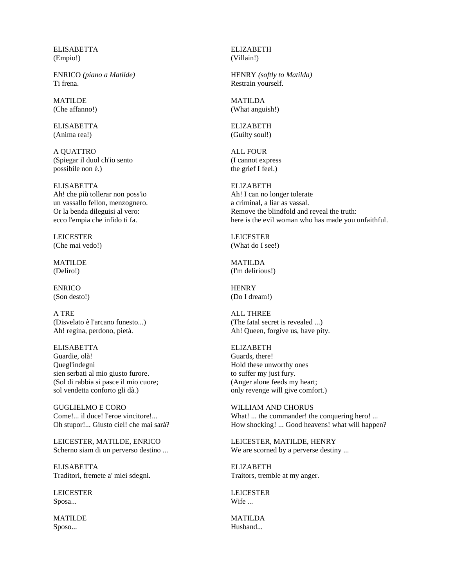**ELISABETTA** (Empio!)

ENRICO *(piano a Matilde)* Ti frena.

MATILDE (Che affanno!)

ELISABETTA (Anima rea!)

A QUATTRO (Spiegar il duol ch'io sento possibile non è.)

ELISABETTA Ah! che più tollerar non poss'io un vassallo fellon, menzognero. Or la benda dileguisi al vero: ecco l'empia che infido ti fa.

LEICESTER (Che mai vedo!)

MATILDE (Deliro!)

ENRICO (Son desto!)

A TRE (Disvelato è l'arcano funesto...) Ah! regina, perdono, pietà.

ELISABETTA Guardie, olà! Quegl'indegni sien serbati al mio giusto furore. (Sol di rabbia si pasce il mio cuore; sol vendetta conforto gli dà.)

GUGLIELMO E CORO Come!... il duce! l'eroe vincitore!... Oh stupor!... Giusto ciel! che mai sarà?

LEICESTER, MATILDE, ENRICO Scherno siam di un perverso destino ...

ELISABETTA Traditori, fremete a' miei sdegni.

LEICESTER Sposa...

MATILDE Sposo...

ELIZABETH (Villain!)

HENRY *(softly to Matilda)* Restrain yourself.

MATILDA (What anguish!)

ELIZABETH (Guilty soul!)

ALL FOUR (I cannot express the grief I feel.)

ELIZABETH Ah! I can no longer tolerate a criminal, a liar as vassal. Remove the blindfold and reveal the truth: here is the evil woman who has made you unfaithful.

LEICESTER (What do I see!)

MATILDA (I'm delirious!)

**HENRY** (Do I dream!)

ALL THREE (The fatal secret is revealed ...) Ah! Queen, forgive us, have pity.

ELIZABETH Guards, there! Hold these unworthy ones to suffer my just fury. (Anger alone feeds my heart; only revenge will give comfort.)

WILLIAM AND CHORUS What! ... the commander! the conquering hero! ... How shocking! ... Good heavens! what will happen?

LEICESTER, MATILDE, HENRY We are scorned by a perverse destiny ...

ELIZABETH Traitors, tremble at my anger.

LEICESTER Wife ...

MATILDA Husband...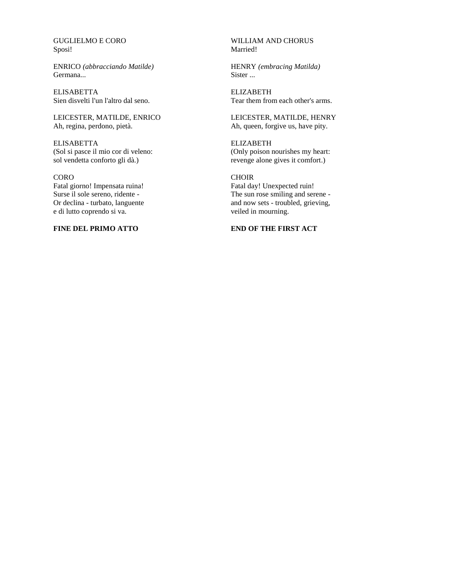GUGLIELMO E CORO Sposi!

ENRICO *(abbracciando Matilde)* Germana...

ELISABETTA Sien disvelti l'un l'altro dal seno.

LEICESTER, MATILDE, ENRICO Ah, regina, perdono, pietà.

ELISABETTA (Sol si pasce il mio cor di veleno: sol vendetta conforto gli dà.)

CORO Fatal giorno! Impensata ruina! Surse il sole sereno, ridente - Or declina - turbato, languente e di lutto coprendo si va.

**FINE DEL PRIMO ATTO**

### WILLIAM AND CHORUS Married!

HENRY *(embracing Matilda)* Sister ...

ELIZABETH Tear them from each other's arms.

LEICESTER, MATILDE, HENRY Ah, queen, forgive us, have pity.

ELIZABETH (Only poison nourishes my heart: revenge alone gives it comfort.)

**CHOIR** Fatal day! Unexpected ruin! The sun rose smiling and serene and now sets - troubled, grieving, veiled in mourning.

## **END OF THE FIRST ACT**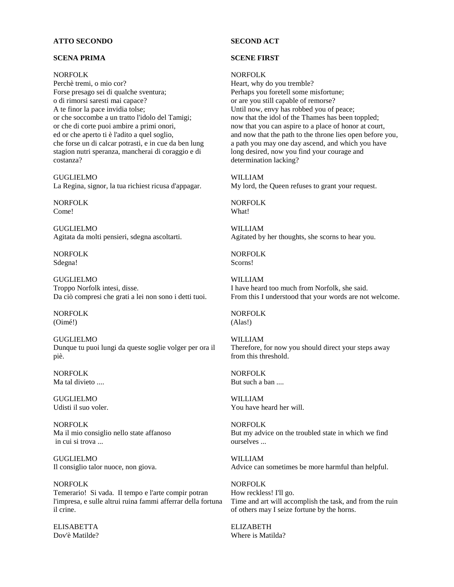### **ATTO SECONDO**

### **SCENA PRIMA**

#### NORFOLK

Perchè tremi, o mio cor? Forse presago sei di qualche sventura; o di rimorsi saresti mai capace? A te finor la pace invidia tolse; or che soccombe a un tratto l'idolo del Tamigi; or che di corte puoi ambire a primi onori, ed or che aperto ti è l'adito a quel soglio, che forse un di calcar potrasti, e in cue da ben lung stagion nutri speranza, mancherai di coraggio e di costanza?

GUGLIELMO La Regina, signor, la tua richiest ricusa d'appagar.

NORFOLK Come!

GUGLIELMO Agitata da molti pensieri, sdegna ascoltarti.

NORFOLK Sdegna!

GUGLIELMO Troppo Norfolk intesi, disse. Da ciò compresi che grati a lei non sono i detti tuoi.

NORFOLK (Oimé!)

GUGLIELMO Dunque tu puoi lungi da queste soglie volger per ora il piè.

NORFOLK Ma tal divieto ....

GUGLIELMO Udisti il suo voler.

NORFOLK Ma il mio consiglio nello state affanoso in cui si trova ...

GUGLIELMO Il consiglio talor nuoce, non giova.

NORFOLK Temerario! Si vada. Il tempo e l'arte compir potran l'impresa, e sulle altrui ruina fammi afferrar della fortuna il crine.

ELISABETTA Dov'è Matilde?

## **SECOND ACT**

### **SCENE FIRST**

### NORFOLK

Heart, why do you tremble? Perhaps you foretell some misfortune; or are you still capable of remorse? Until now, envy has robbed you of peace; now that the idol of the Thames has been toppled; now that you can aspire to a place of honor at court, and now that the path to the throne lies open before you, a path you may one day ascend, and which you have long desired, now you find your courage and determination lacking?

WILLIAM

My lord, the Queen refuses to grant your request.

NORFOLK What!

WILLIAM Agitated by her thoughts, she scorns to hear you.

NORFOLK Scorns!

WILLIAM I have heard too much from Norfolk, she said. From this I understood that your words are not welcome.

NORFOLK (Alas!)

WILLIAM Therefore, for now you should direct your steps away from this threshold.

NORFOLK But such a ban ....

WILLIAM You have heard her will.

NORFOLK But my advice on the troubled state in which we find ourselves ...

WILLIAM Advice can sometimes be more harmful than helpful.

NORFOLK How reckless! I'll go. Time and art will accomplish the task, and from the ruin of others may I seize fortune by the horns.

ELIZABETH Where is Matilda?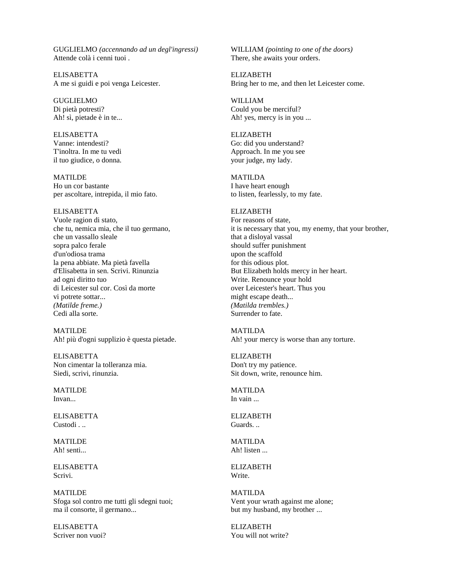GUGLIELMO *(accennando ad un degl'ingressi)* Attende colà i cenni tuoi .

**ELISABETTA** A me si guidi e poi venga Leicester.

GUGLIELMO Di pietà potresti? Ah! sì, pietade è in te...

ELISABETTA Vanne: intendesti? T'inoltra. In me tu vedi il tuo giudice, o donna.

MATILDE Ho un cor bastante per ascoltare, intrepida, il mio fato.

ELISABETTA Vuole ragion di stato, che tu, nemica mia, che il tuo germano, che un vassallo sleale sopra palco ferale d'un'odiosa trama la pena abbiate. Ma pietà favella d'Elisabetta in sen. Scrivi. Rinunzia ad ogni diritto tuo di Leicester sul cor. Così da morte vi potrete sottar... *(Matilde freme.)* Cedi alla sorte.

MATILDE Ah! più d'ogni supplizio è questa pietade.

ELISABETTA Non cimentar la tolleranza mia. Siedi, scrivi, rinunzia.

MATILDE Invan...

ELISABETTA Custodi . ..

MATILDE Ah! senti...

ELISABETTA Scrivi.

MATILDE Sfoga sol contro me tutti gli sdegni tuoi; ma il consorte, il germano...

ELISABETTA Scriver non vuoi?

WILLIAM *(pointing to one of the doors)* There, she awaits your orders.

ELIZABETH Bring her to me, and then let Leicester come.

WILLIAM Could you be merciful? Ah! yes, mercy is in you ...

ELIZABETH Go: did you understand? Approach. In me you see your judge, my lady.

MATILDA I have heart enough to listen, fearlessly, to my fate.

### ELIZABETH

For reasons of state, it is necessary that you, my enemy, that your brother, that a disloyal vassal should suffer punishment upon the scaffold for this odious plot. But Elizabeth holds mercy in her heart. Write. Renounce your hold over Leicester's heart. Thus you might escape death... *(Matilda trembles.)* Surrender to fate.

MATILDA Ah! your mercy is worse than any torture.

ELIZABETH Don't try my patience. Sit down, write, renounce him.

MATILDA In vain ...

ELIZABETH Guards. ..

MATILDA Ah! listen ...

ELIZABETH Write.

MATILDA Vent your wrath against me alone; but my husband, my brother ...

ELIZABETH You will not write?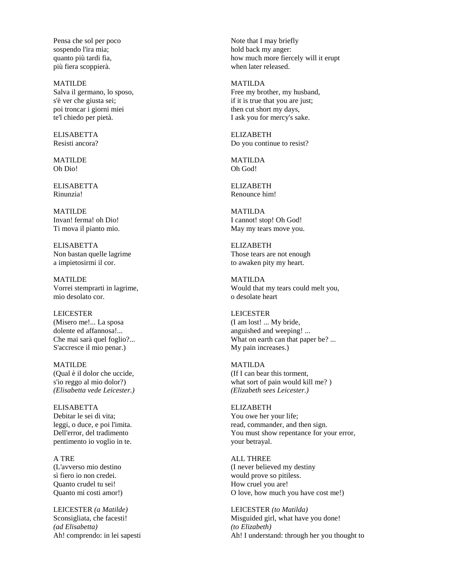Pensa che sol per poco sospendo l'ira mia; quanto più tardi fia, più fiera scoppierà.

MATILDE Salva il germano, lo sposo, s'è ver che giusta sei; poi troncar i giorni miei te'l chiedo per pietà.

ELISABETTA Resisti ancora?

MATILDE Oh Dio!

ELISABETTA Rinunzia!

MATILDE Invan! ferma! oh Dio! Ti mova il pianto mio.

ELISABETTA Non bastan quelle lagrime a impietosirmi il cor.

MATILDE Vorrei stemprarti in lagrime, mio desolato cor.

LEICESTER (Misero me!... La sposa dolente ed affannosa!... Che mai sarà quel foglio?... S'accresce il mio penar.)

MATILDE (Qual è il dolor che uccide, s'io reggo al mio dolor?) *(Elisabetta vede Leicester.)*

ELISABETTA Debitar le sei di vita; leggi, o duce, e poi l'imita. Dell'error, del tradimento pentimento io voglio in te.

A TRE (L'avverso mio destino sì fiero io non credei. Quanto crudel tu sei! Quanto mi costi amor!)

LEICESTER *(a Matilde)* Sconsigliata, che facesti! *(ad Elisabetta)* Ah! comprendo: in lei sapesti

Note that I may briefly hold back my anger: how much more fiercely will it erupt when later released.

MATILDA Free my brother, my husband, if it is true that you are just; then cut short my days, I ask you for mercy's sake.

ELIZABETH Do you continue to resist?

MATILDA Oh God!

ELIZABETH Renounce him!

MATILDA I cannot! stop! Oh God! May my tears move you.

ELIZABETH Those tears are not enough to awaken pity my heart.

MATILDA Would that my tears could melt you, o desolate heart

LEICESTER (I am lost! ... My bride, anguished and weeping! ... What on earth can that paper be? ... My pain increases.)

MATILDA (If I can bear this torment, what sort of pain would kill me? ) *(Elizabeth sees Leicester.)*

ELIZABETH You owe her your life; read, commander, and then sign. You must show repentance for your error, your betrayal.

ALL THREE (I never believed my destiny would prove so pitiless. How cruel you are! O love, how much you have cost me!)

LEICESTER *(to Matilda)* Misguided girl, what have you done! *(to Elizabeth)* Ah! I understand: through her you thought to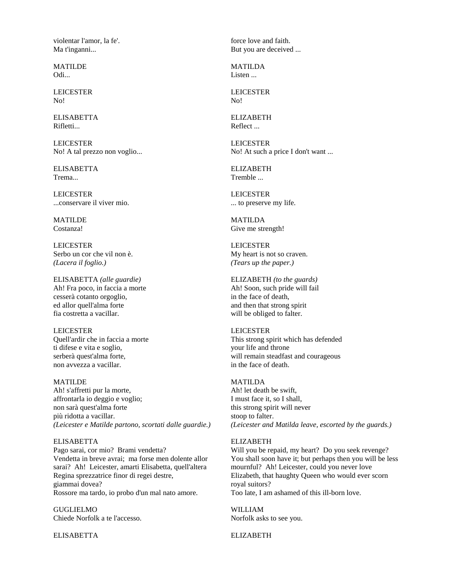violentar l'amor, la fe'. Ma t'inganni...

MATILDE Odi...

LEICESTER No!

ELISABETTA Rifletti...

LEICESTER No! A tal prezzo non voglio...

ELISABETTA Trema...

LEICESTER ...conservare il viver mio.

MATILDE Costanza!

LEICESTER Serbo un cor che vil non è. *(Lacera il foglio.)*

ELISABETTA *(alle guardie)* Ah! Fra poco, in faccia a morte cesserà cotanto orgoglio, ed allor quell'alma forte fia costretta a vacillar.

LEICESTER Quell'ardir che in faccia a morte ti difese e vita e soglio, serberà quest'alma forte, non avvezza a vacillar.

MATILDE Ah! s'affretti pur la morte, affrontarla io deggio e voglio; non sarà quest'alma forte più ridotta a vacillar. *(Leicester e Matilde partono, scortati dalle guardie.)*

## ELISABETTA Pago sarai, cor mio? Brami vendetta? Vendetta in breve avrai; ma forse men dolente allor sarai? Ah! Leicester, amarti Elisabetta, quell'altera Regina sprezzatrice finor di regei destre, giammai dovea? Rossore ma tardo, io probo d'un mal nato amore.

GUGLIELMO Chiede Norfolk a te l'accesso.

ELISABETTA

force love and faith. But you are deceived ...

MATILDA Listen ...

LEICESTER No!

ELIZABETH Reflect ...

LEICESTER No! At such a price I don't want ...

ELIZABETH **Tremble** 

LEICESTER ... to preserve my life.

MATILDA Give me strength!

LEICESTER My heart is not so craven. *(Tears up the paper.)*

ELIZABETH *(to the guards)* Ah! Soon, such pride will fail in the face of death, and then that strong spirit will be obliged to falter.

LEICESTER This strong spirit which has defended your life and throne will remain steadfast and courageous in the face of death.

MATILDA Ah! let death be swift, I must face it, so I shall, this strong spirit will never stoop to falter. *(Leicester and Matilda leave, escorted by the guards.)*

### ELIZABETH

Will you be repaid, my heart? Do you seek revenge? You shall soon have it; but perhaps then you will be less mournful? Ah! Leicester, could you never love Elizabeth, that haughty Queen who would ever scorn royal suitors? Too late, I am ashamed of this ill-born love.

WILLIAM Norfolk asks to see you.

ELIZABETH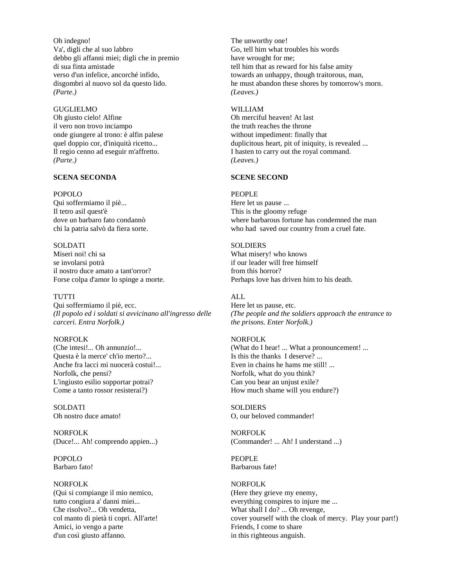Oh indegno! Va', digli che al suo labbro debbo gli affanni miei; digli che in premio di sua finta amistade verso d'un infelice, ancorché infido, disgombri al nuovo sol da questo lido. *(Parte.)*

GUGLIELMO Oh giusto cielo! Alfine il vero non trovo inciampo onde giungere al trono: è alfin palese quel doppio cor, d'iniquità ricetto... Il regio cenno ad eseguir m'affretto. *(Parte.)*

## **SCENA SECONDA**

#### POPOLO

Qui soffermiamo il piè... Il tetro asil quest'è dove un barbaro fato condannò chi la patria salvò da fiera sorte.

#### **SOLDATI**

Miseri noi! chi sa se involarsi potrà il nostro duce amato a tant'orror? Forse colpa d'amor lo spinge a morte.

## **TUTTI**

Qui soffermiamo il piè, ecc. *(Il popolo ed i soldati si avvicinano all'ingresso delle carceri. Entra Norfolk.)*

## NORFOLK

(Che intesi!... Oh annunzio!... Questa è la merce' ch'io merto?... Anche fra lacci mi nuocerà costui!... Norfolk, che pensi? L'ingiusto esilio sopportar potrai? Come a tanto rossor resisterai?)

SOLDATI Oh nostro duce amato!

NORFOLK (Duce!... Ah! comprendo appien...)

POPOLO Barbaro fato!

#### NORFOLK

(Qui si compiange il mio nemico, tutto congiura a' danni miei... Che risolvo?... Oh vendetta, col manto di pietà ti copri. All'arte! Amici, io vengo a parte d'un così giusto affanno.

The unworthy one! Go, tell him what troubles his words have wrought for me; tell him that as reward for his false amity towards an unhappy, though traitorous, man, he must abandon these shores by tomorrow's morn. *(Leaves.)*

#### WILLIAM

Oh merciful heaven! At last the truth reaches the throne without impediment: finally that duplicitous heart, pit of iniquity, is revealed ... I hasten to carry out the royal command. *(Leaves.)*

#### **SCENE SECOND**

#### PEOPLE

Here let us pause ... This is the gloomy refuge where barbarous fortune has condemned the man who had saved our country from a cruel fate.

### SOLDIERS

What misery! who knows if our leader will free himself from this horror? Perhaps love has driven him to his death.

## ALL

Here let us pause, etc. *(The people and the soldiers approach the entrance to the prisons. Enter Norfolk.)*

#### NORFOLK

(What do I hear! ... What a pronouncement! ... Is this the thanks I deserve? ... Even in chains he hams me still! ... Norfolk, what do you think? Can you bear an unjust exile? How much shame will you endure?)

**SOLDIERS** O, our beloved commander!

NORFOLK (Commander! ... Ah! I understand ...)

PEOPLE Barbarous fate!

#### NORFOLK

(Here they grieve my enemy, everything conspires to injure me ... What shall I do? ... Oh revenge, cover yourself with the cloak of mercy. Play your part!) Friends, I come to share in this righteous anguish.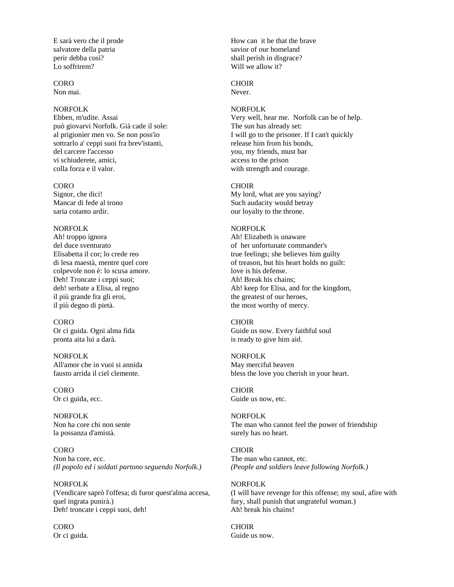E sarà vero che il prode salvatore della patria perir debba così? Lo soffrirem?

CORO Non mai.

#### NORFOLK

Ebben, m'udite. Assai può giovarvi Norfolk. Già cade il sole: al prigionier men vo. Se non poss'io sottrarlo a' ceppi suoi fra brev'istanti, del carcere l'accesso vi schiuderete, amici, colla forza e il valor.

#### **CORO**

Signor, che dici! Mancar di fede al trono saria cotanto ardir.

### NORFOLK

Ah! troppo ignora del duce sventurato Elisabetta il cor; lo crede reo di lesa maestà, mentre quel core colpevole non è: lo scusa amore. Deh! Troncate i ceppi suoi; deh! serbate a Elisa, al regno il più grande fra gli eroi, il più degno di pietà.

CORO Or ci guida. Ogni alma fida pronta aita lui a darà.

NORFOLK All'amor che in vuoi si annida fausto arrida il ciel clemente.

CORO Or ci guida, ecc.

NORFOLK Non ha core chi non sente la possanza d'amistà.

CORO Non ha core, ecc. *(Il popolo ed i soldati partono seguendo Norfolk.)*

NORFOLK (Vendicare saprò l'offesa; di furor quest'alma accesa, quel ingrata punirà.) Deh! troncate i ceppi suoi, deh!

CORO Or ci guida. How can it be that the brave savior of our homeland shall perish in disgrace? Will we allow it?

## CHOIR

Never.

#### NORFOLK

Very well, hear me. Norfolk can be of help. The sun has already set: I will go to the prisoner. If I can't quickly release him from his bonds, you, my friends, must bar access to the prison with strength and courage.

#### CHOIR

My lord, what are you saying? Such audacity would betray our loyalty to the throne.

## NORFOLK

Ah! Elizabeth is unaware of her unfortunate commander's true feelings; she believes him guilty of treason, but his heart holds no guilt: love is his defense. Ah! Break his chains; Ah! keep for Elisa, and for the kingdom, the greatest of our heroes, the most worthy of mercy.

#### CHOIR

Guide us now. Every faithful soul is ready to give him aid.

#### NORFOLK May merciful heaven

bless the love you cherish in your heart.

# CHOIR

Guide us now, etc.

### NORFOLK The man who cannot feel the power of friendship surely has no heart.

CHOIR The man who cannot, etc. *(People and soldiers leave following Norfolk.)*

#### NORFOLK

(I will have revenge for this offense; my soul, afire with fury, shall punish that ungrateful woman.) Ah! break his chains!

**CHOIR** Guide us now.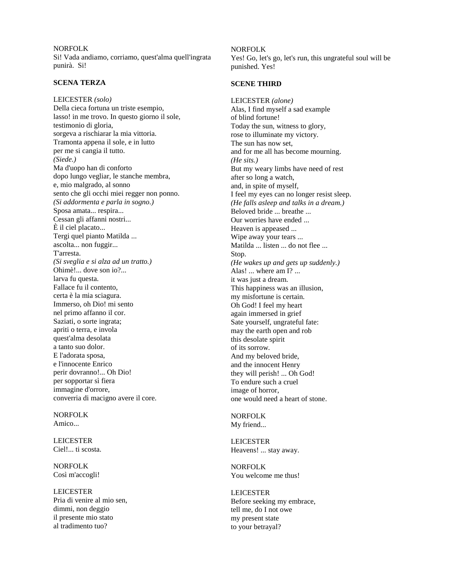NORFOLK Si! Vada andiamo, corriamo, quest'alma quell'ingrata punirà. Si!

### **SCENA TERZA**

LEICESTER *(solo)* Della cieca fortuna un triste esempio, lasso! in me trovo. In questo giorno il sole, testimonio di gloria, sorgeva a rischiarar la mia vittoria. Tramonta appena il sole, e in lutto per me si cangia il tutto. *(Siede.)* Ma d'uopo han di conforto dopo lungo vegliar, le stanche membra, e, mio malgrado, al sonno sento che gli occhi miei regger non ponno. *(Si addormenta e parla in sogno.)* Sposa amata... respira... Cessan gli affanni nostri... È il ciel placato... Tergi quel pianto Matilda ... ascolta... non fuggir... T'arresta. *(Si sveglia e si alza ad un tratto.)* Ohimè!... dove son io?... larva fu questa. Fallace fu il contento, certa è la mia sciagura. Immerso, oh Dio! mi sento nel primo affanno il cor. Saziati, o sorte ingrata; apriti o terra, e invola quest'alma desolata a tanto suo dolor. E l'adorata sposa, e l'innocente Enrico perir dovranno!... Oh Dio! per sopportar sì fiera immagine d'orrore, converria di macigno avere il core.

NORFOLK Amico...

LEICESTER Ciel!... ti scosta.

NORFOLK Così m'accogli!

LEICESTER Pria di venire al mio sen, dimmi, non deggio il presente mio stato al tradimento tuo?

#### NORFOLK

Yes! Go, let's go, let's run, this ungrateful soul will be punished. Yes!

#### **SCENE THIRD**

LEICESTER *(alone)* Alas, I find myself a sad example of blind fortune! Today the sun, witness to glory, rose to illuminate my victory. The sun has now set, and for me all has become mourning. *(He sits.)* But my weary limbs have need of rest after so long a watch, and, in spite of myself, I feel my eyes can no longer resist sleep. *(He falls asleep and talks in a dream.)* Beloved bride ... breathe ... Our worries have ended ... Heaven is appeased ... Wipe away your tears ... Matilda ... listen ... do not flee ... Stop. *(He wakes up and gets up suddenly.)* Alas! ... where am I? ... it was just a dream. This happiness was an illusion, my misfortune is certain. Oh God! I feel my heart again immersed in grief Sate yourself, ungrateful fate: may the earth open and rob this desolate spirit of its sorrow. And my beloved bride, and the innocent Henry they will perish! ... Oh God! To endure such a cruel image of horror, one would need a heart of stone.

## NORFOLK My friend...

LEICESTER Heavens! ... stay away.

NORFOLK You welcome me thus!

LEICESTER Before seeking my embrace, tell me, do I not owe my present state to your betrayal?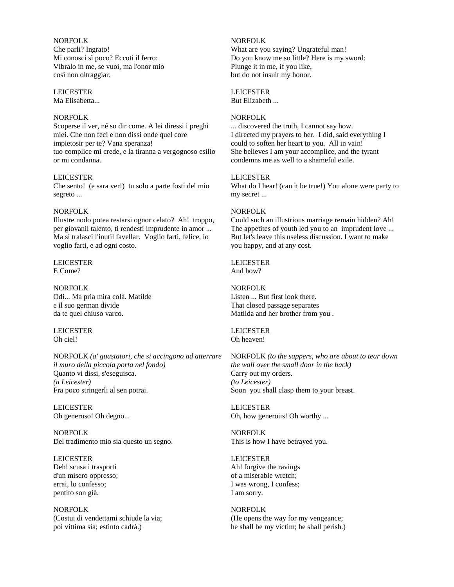NORFOLK Che parli? Ingrato! Mi conosci sì poco? Eccoti il ferro: Vibralo in me, se vuoi, ma l'onor mio così non oltraggiar.

#### LEICESTER

Ma Elisabetta...

### NORFOLK

Scoperse il ver, né so dir come. A lei diressi i preghi miei. Che non feci e non dissi onde quel core impietosir per te? Vana speranza! tuo complice mi crede, e la tiranna a vergognoso esilio or mi condanna.

### LEICESTER

Che sento! (e sara ver!) tu solo a parte fosti del mio segreto ...

### NORFOLK

Illustre nodo potea restarsi ognor celato? Ah! troppo, per giovanil talento, ti rendesti imprudente in amor ... Ma si tralasci l'inutil favellar. Voglio farti, felice, io voglio farti, e ad ogni costo.

### LEICESTER E Come?

NORFOLK Odi... Ma pria mira colà. Matilde e il suo german divide da te quel chiuso varco.

LEICESTER Oh ciel!

NORFOLK *(a' guastatori, che si accingono ad atterrare il muro della piccola porta nel fondo)* Quanto vi dissi, s'eseguisca. *(a Leicester)* Fra poco stringerli al sen potrai.

LEICESTER Oh generoso! Oh degno...

NORFOLK Del tradimento mio sia questo un segno.

LEICESTER Deh! scusa i trasporti d'un misero oppresso; errai, lo confesso; pentito son già.

NORFOLK (Costui di vendettami schiude la via; poi vittima sia; estinto cadrà.)

NORFOLK What are you saying? Ungrateful man! Do you know me so little? Here is my sword: Plunge it in me, if you like, but do not insult my honor.

## LEICESTER

But Elizabeth ...

### NORFOLK

... discovered the truth, I cannot say how. I directed my prayers to her. I did, said everything I could to soften her heart to you. All in vain! She believes I am your accomplice, and the tyrant condemns me as well to a shameful exile.

## LEICESTER

What do I hear! (can it be true!) You alone were party to my secret ...

## NORFOLK

Could such an illustrious marriage remain hidden? Ah! The appetites of youth led you to an imprudent love ... But let's leave this useless discussion. I want to make you happy, and at any cost.

# LEICESTER

And how?

### NORFOLK Listen ... But first look there. That closed passage separates Matilda and her brother from you .

LEICESTER Oh heaven!

NORFOLK *(to the sappers, who are about to tear down the wall over the small door in the back)* Carry out my orders. *(to Leicester)* Soon you shall clasp them to your breast.

LEICESTER Oh, how generous! Oh worthy ...

NORFOLK This is how I have betrayed you.

### LEICESTER

Ah! forgive the ravings of a miserable wretch; I was wrong, I confess; I am sorry.

## NORFOLK

(He opens the way for my vengeance; he shall be my victim; he shall perish.)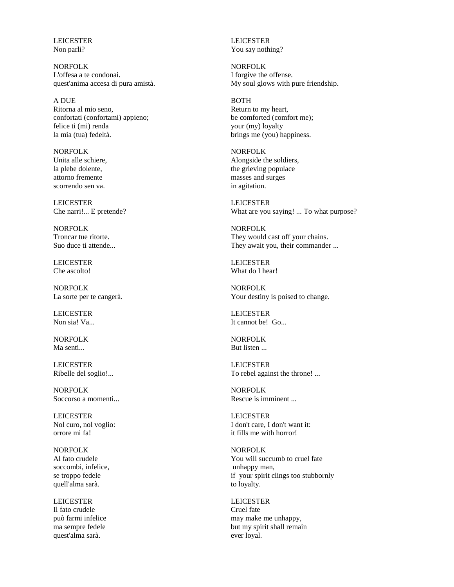LEICESTER Non parli?

NORFOLK L'offesa a te condonai. quest'anima accesa di pura amistà.

A DUE Ritorna al mio seno, confortati (confortami) appieno; felice ti (mi) renda la mia (tua) fedeltà.

NORFOLK Unita alle schiere, la plebe dolente, attorno fremente scorrendo sen va.

LEICESTER Che narri!... E pretende?

NORFOLK Troncar tue ritorte. Suo duce ti attende...

LEICESTER Che ascolto!

NORFOLK La sorte per te cangerà.

LEICESTER Non sia! Va...

NORFOLK Ma senti...

LEICESTER Ribelle del soglio!...

NORFOLK Soccorso a momenti...

LEICESTER Nol curo, nol voglio: orrore mi fa!

NORFOLK Al fato crudele soccombi, infelice, se troppo fedele quell'alma sarà.

LEICESTER Il fato crudele può farmi infelice ma sempre fedele quest'alma sarà.

LEICESTER You say nothing?

NORFOLK I forgive the offense. My soul glows with pure friendship.

**BOTH** Return to my heart, be comforted (comfort me); your (my) loyalty brings me (you) happiness.

NORFOLK Alongside the soldiers, the grieving populace masses and surges in agitation.

LEICESTER What are you saying! ... To what purpose?

NORFOLK They would cast off your chains. They await you, their commander ...

LEICESTER What do I hear!

NORFOLK Your destiny is poised to change.

LEICESTER It cannot be! Go...

NORFOLK But listen ...

LEICESTER To rebel against the throne! ...

NORFOLK Rescue is imminent ...

LEICESTER I don't care, I don't want it: it fills me with horror!

NORFOLK You will succumb to cruel fate unhappy man, if your spirit clings too stubbornly to loyalty.

LEICESTER Cruel fate may make me unhappy, but my spirit shall remain ever loyal.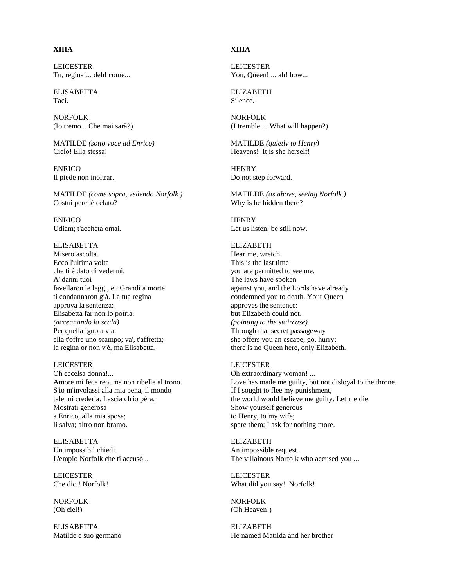# **XIIIA**

LEICESTER Tu, regina!... deh! come...

ELISABETTA Taci.

NORFOLK (Io tremo... Che mai sarà?)

MATILDE *(sotto voce ad Enrico)* Cielo! Ella stessa!

ENRICO Il piede non inoltrar.

MATILDE *(come sopra, vedendo Norfolk.)* Costui perché celato?

**ENRICO** Udiam; t'accheta omai.

## **ELISABETTA**

Misero ascolta. Ecco l'ultima volta che ti è dato di vedermi. A' danni tuoi favellaron le leggi, e i Grandi a morte ti condannaron già. La tua regina approva la sentenza: Elisabetta far non lo potria. *(accennando la scala)* Per quella ignota via ella t'offre uno scampo; va', t'affretta; la regina or non v'è, ma Elisabetta.

### LEICESTER

Oh eccelsa donna!... Amore mi fece reo, ma non ribelle al trono. S'io m'involassi alla mia pena, il mondo tale mi crederia. Lascia ch'io pèra. Mostrati generosa a Enrico, alla mia sposa; li salva; altro non bramo.

ELISABETTA Un impossibil chiedi. L'empio Norfolk che ti accusò...

LEICESTER Che dici! Norfolk!

NORFOLK (Oh ciel!)

ELISABETTA Matilde e suo germano

## **XIIIA**

LEICESTER You, Queen! ... ah! how...

ELIZABETH Silence.

NORFOLK (I tremble ... What will happen?)

MATILDE *(quietly to Henry)* Heavens! It is she herself!

**HENRY** Do not step forward.

MATILDE *(as above, seeing Norfolk.)* Why is he hidden there?

**HENRY** Let us listen; be still now.

## **ELIZABETH**

Hear me, wretch. This is the last time you are permitted to see me. The laws have spoken against you, and the Lords have already condemned you to death. Your Queen approves the sentence: but Elizabeth could not. *(pointing to the staircase)* Through that secret passageway she offers you an escape; go, hurry; there is no Queen here, only Elizabeth.

#### LEICESTER

Oh extraordinary woman! ... Love has made me guilty, but not disloyal to the throne. If I sought to flee my punishment, the world would believe me guilty. Let me die. Show yourself generous to Henry, to my wife; spare them; I ask for nothing more.

ELIZABETH An impossible request. The villainous Norfolk who accused you ...

LEICESTER What did you say! Norfolk!

NORFOLK (Oh Heaven!)

ELIZABETH He named Matilda and her brother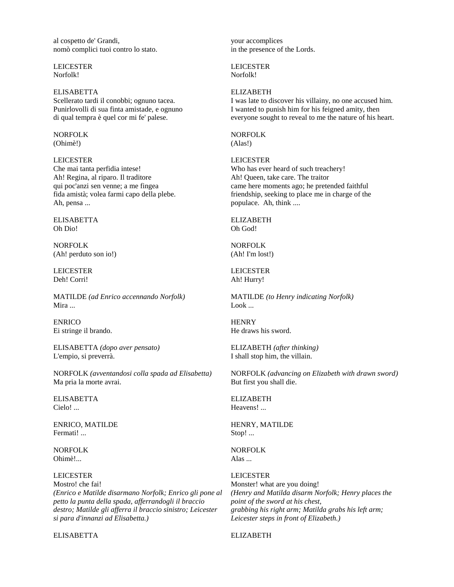al cospetto de' Grandi, nomò complici tuoi contro lo stato.

LEICESTER Norfolk!

ELISABETTA Scellerato tardi il conobbi; ognuno tacea. Punirlovolli di sua finta amistade, e ognuno di qual tempra è quel cor mi fe' palese.

NORFOLK (Ohimè!)

LEICESTER Che mai tanta perfidia intese! Ah! Regina, al riparo. Il traditore qui poc'anzi sen venne; a me fingea fida amistà; volea farmi capo della plebe. Ah, pensa ...

ELISABETTA Oh Dio!

NORFOLK (Ah! perduto son io!)

LEICESTER Deh! Corri!

MATILDE *(ad Enrico accennando Norfolk)* Mira ...

ENRICO Ei stringe il brando.

ELISABETTA *(dopo aver pensato)* L'empio, si preverrà.

NORFOLK *(avventandosi colla spada ad Elisabetta)* Ma pria la morte avrai.

ELISABETTA Cielo! ...

ENRICO, MATILDE Fermati! ...

NORFOLK Ohimè!

#### LEICESTER

Mostro! che fai! *(Enrico e Matilde disarmano Norfolk; Enrico gli pone al petto la punta della spada, afferrandogli il braccio destro; Matilde gli afferra il braccio sinistro; Leicester si para d'innanzi ad Elisabetta.)*

ELISABETTA

your accomplices in the presence of the Lords.

LEICESTER Norfolk!

#### **ELIZABETH**

I was late to discover his villainy, no one accused him. I wanted to punish him for his feigned amity, then everyone sought to reveal to me the nature of his heart.

NORFOLK (Alas!)

LEICESTER Who has ever heard of such treachery! Ah! Queen, take care. The traitor came here moments ago; he pretended faithful friendship, seeking to place me in charge of the populace. Ah, think ....

ELIZABETH Oh God!

NORFOLK (Ah! I'm lost!)

LEICESTER Ah! Hurry!

MATILDE *(to Henry indicating Norfolk)* Look ...

**HENRY** He draws his sword.

ELIZABETH *(after thinking)* I shall stop him, the villain.

NORFOLK *(advancing on Elizabeth with drawn sword)* But first you shall die.

ELIZABETH Heavens! ...

HENRY, MATILDE Stop! ...

NORFOLK Alas ...

LEICESTER Monster! what are you doing! *(Henry and Matilda disarm Norfolk; Henry places the point of the sword at his chest, grabbing his right arm; Matilda grabs his left arm; Leicester steps in front of Elizabeth.)*

ELIZABETH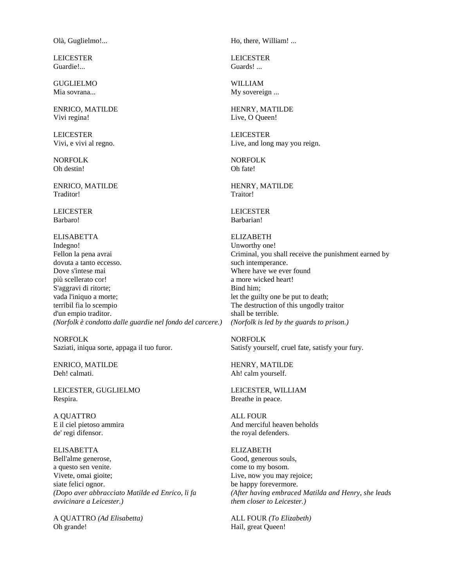Olà, Guglielmo!...

LEICESTER Guardie!...

GUGLIELMO Mia sovrana...

ENRICO, MATILDE Vivi regina!

LEICESTER Vivi, e vivi al regno.

NORFOLK Oh destin!

ENRICO, MATILDE Traditor!

LEICESTER Barbaro!

ELISABETTA Indegno! Fellon la pena avrai dovuta a tanto eccesso. Dove s'intese mai più scellerato cor! S'aggravi di ritorte; vada l'iniquo a morte; terribil fia lo scempio d'un empio traditor. *(Norfolk è condotto dalle guardie nel fondo del carcere.)*

NORFOLK Saziati, iniqua sorte, appaga il tuo furor.

ENRICO, MATILDE Deh! calmati.

LEICESTER, GUGLIELMO Respira.

A QUATTRO E il ciel pietoso ammira de' regi difensor.

ELISABETTA Bell'alme generose, a questo sen venite. Vivete, omai gioite; siate felici ognor. *(Dopo aver abbracciato Matilde ed Enrico, li fa avvicinare a Leicester.)*

A QUATTRO *(Ad Elisabetta)* Oh grande!

Ho, there, William! ...

LEICESTER Guards! ...

WILLIAM My sovereign ...

HENRY, MATILDE Live, O Queen!

LEICESTER Live, and long may you reign.

NORFOLK Oh fate!

HENRY, MATILDE Traitor!

LEICESTER Barbarian!

ELIZABETH Unworthy one! Criminal, you shall receive the punishment earned by such intemperance. Where have we ever found a more wicked heart! Bind him; let the guilty one be put to death; The destruction of this ungodly traitor shall be terrible. *(Norfolk is led by the guards to prison.)*

NORFOLK Satisfy yourself, cruel fate, satisfy your fury.

HENRY, MATILDE Ah! calm yourself.

LEICESTER, WILLIAM Breathe in peace.

ALL FOUR And merciful heaven beholds the royal defenders.

ELIZABETH Good, generous souls, come to my bosom. Live, now you may rejoice; be happy forevermore. *(After having embraced Matilda and Henry, she leads them closer to Leicester.)*

ALL FOUR *(To Elizabeth)* Hail, great Queen!